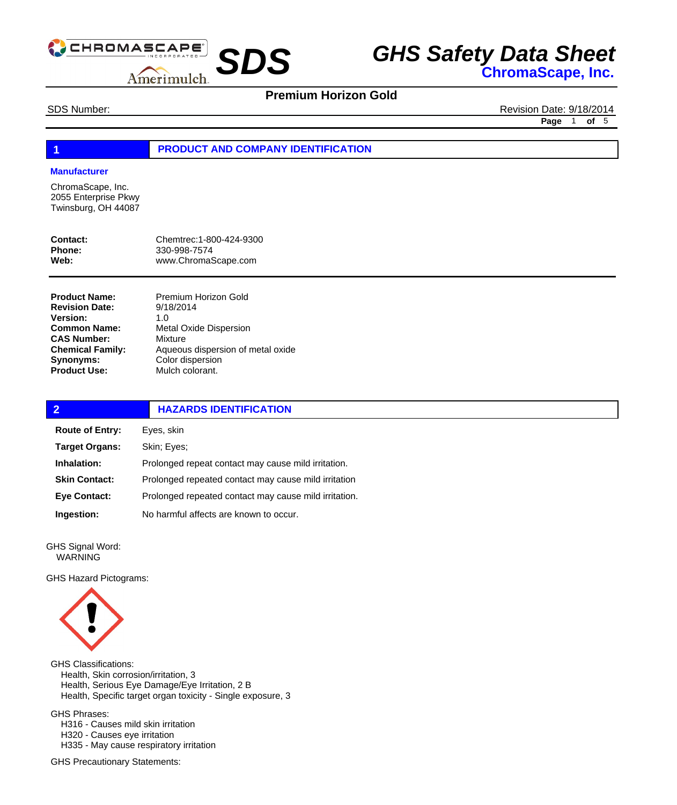

## **Premium Horizon Gold**

SDS Number: Revision Date: 9/18/2014 **Page** 1 **of** 5

#### **1 PRODUCT AND COMPANY IDENTIFICATION**

#### **Manufacturer**

ChromaScape, Inc. 2055 Enterprise Pkwy Twinsburg, OH 44087

| Contact: | Chemtrec: 1-800-424-9300 |
|----------|--------------------------|
| Phone:   | 330-998-7574             |
| Web:     | www.ChromaScape.com      |

**Product Name: Revision Date: Version: Common Name: CAS Number: Chemical Family: Synonyms: Product Use:**

Premium Horizon Gold 9/18/2014 1.0 Metal Oxide Dispersion Mixture Aqueous dispersion of metal oxide Color dispersion Mulch colorant.

| $\overline{2}$         | <b>HAZARDS IDENTIFICATION</b>                         |  |
|------------------------|-------------------------------------------------------|--|
| <b>Route of Entry:</b> | Eyes, skin                                            |  |
| <b>Target Organs:</b>  | Skin; Eyes;                                           |  |
| Inhalation:            | Prolonged repeat contact may cause mild irritation.   |  |
| <b>Skin Contact:</b>   | Prolonged repeated contact may cause mild irritation  |  |
| Eye Contact:           | Prolonged repeated contact may cause mild irritation. |  |
| Ingestion:             | No harmful affects are known to occur.                |  |
|                        |                                                       |  |

GHS Signal Word: WARNING

GHS Hazard Pictograms:



GHS Classifications: Health, Skin corrosion/irritation, 3 Health, Serious Eye Damage/Eye Irritation, 2 B Health, Specific target organ toxicity - Single exposure, 3 GHS Phrases:

 H316 - Causes mild skin irritation H320 - Causes eye irritation H335 - May cause respiratory irritation

GHS Precautionary Statements: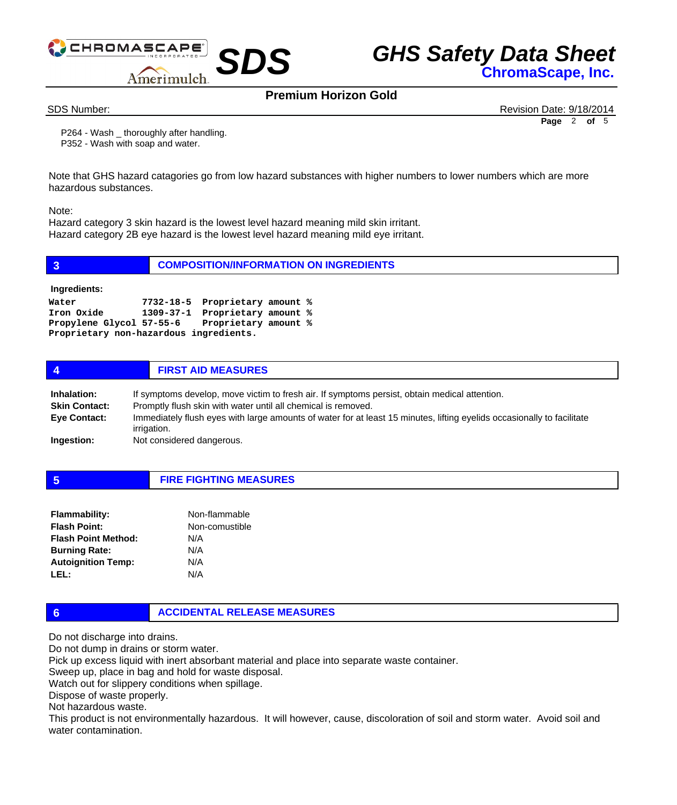

## **Premium Horizon Gold**

SDS Number: Revision Date: 9/18/2014 **Page** 2 **of** 5

 P264 - Wash \_ thoroughly after handling. P352 - Wash with soap and water.

Note that GHS hazard catagories go from low hazard substances with higher numbers to lower numbers which are more hazardous substances.

Note:

Hazard category 3 skin hazard is the lowest level hazard meaning mild skin irritant. Hazard category 2B eye hazard is the lowest level hazard meaning mild eye irritant.

| $\overline{3}$                                                | <b>COMPOSITION/INFORMATION ON INGREDIENTS</b>                                                                     |  |  |
|---------------------------------------------------------------|-------------------------------------------------------------------------------------------------------------------|--|--|
| Ingredients:                                                  |                                                                                                                   |  |  |
| Water<br>Iron Oxide<br>Proprietary non-hazardous ingredients. | 7732-18-5 Proprietary amount %<br>1309-37-1 Proprietary amount %<br>Propylene Glycol 57-55-6 Proprietary amount % |  |  |
| 4                                                             | <b>FIRST AID MEASURES</b>                                                                                         |  |  |

| Inhalation:          | If symptoms develop, move victim to fresh air. If symptoms persist, obtain medical attention.                                         |  |
|----------------------|---------------------------------------------------------------------------------------------------------------------------------------|--|
| <b>Skin Contact:</b> | Promptly flush skin with water until all chemical is removed.                                                                         |  |
| <b>Eye Contact:</b>  | Immediately flush eyes with large amounts of water for at least 15 minutes, lifting eyelids occasionally to facilitate<br>irrigation. |  |
| Ingestion:           | Not considered dangerous.                                                                                                             |  |

**5 FIRE FIGHTING MEASURES**

| <b>Flammability:</b>       | Non-flammable  |
|----------------------------|----------------|
| <b>Flash Point:</b>        | Non-comustible |
| <b>Flash Point Method:</b> | N/A            |
| <b>Burning Rate:</b>       | N/A            |
| <b>Autoignition Temp:</b>  | N/A            |
| LEL:                       | N/A            |

### **6 ACCIDENTAL RELEASE MEASURES**

Do not discharge into drains.

Do not dump in drains or storm water.

Pick up excess liquid with inert absorbant material and place into separate waste container.

Sweep up, place in bag and hold for waste disposal.

Watch out for slippery conditions when spillage.

Dispose of waste properly.

Not hazardous waste.

This product is not environmentally hazardous. It will however, cause, discoloration of soil and storm water. Avoid soil and water contamination.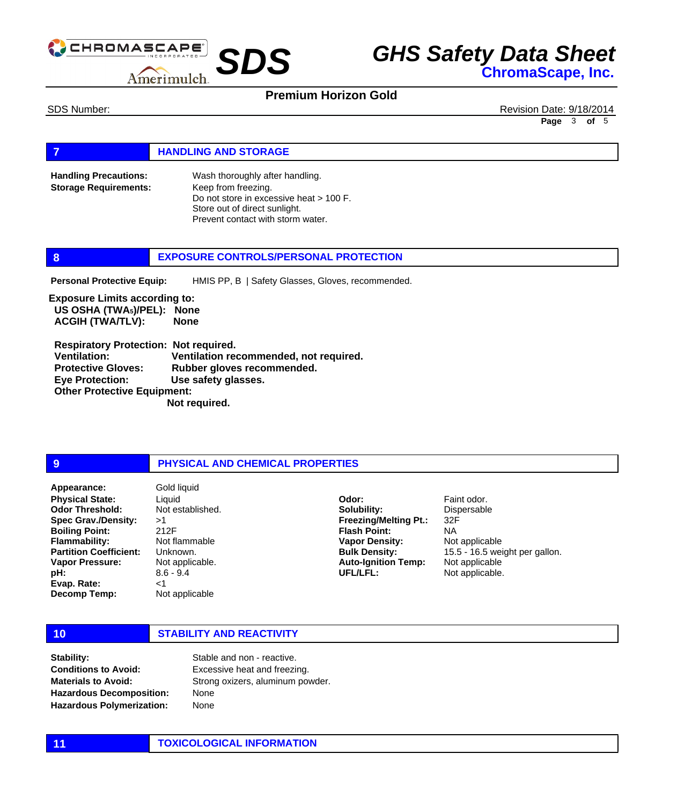

### **Premium Horizon Gold**

SDS Number: Revision Date: 9/18/2014 **Page** 3 **of** 5

#### **FIGURE 12 IN STORAGE**

Wash thoroughly after handling. Keep from freezing. Do not store in excessive heat > 100 F. Store out of direct sunlight. Prevent contact with storm water. **Handling Precautions: Storage Requirements:**

#### **8 EXPOSURE CONTROLS/PERSONAL PROTECTION**

HMIS PP, B | Safety Glasses, Gloves, recommended. **Personal Protective Equip:**

**Exposure Limits according to: US OSHA (TWA5)/PEL): None ACGIH (TWA/TLV): None** 

 **Respiratory Protection: Not required. Ventilation: Ventilation recommended, not required. Protective Gloves: Rubber gloves recommended. Eye Protection: Use safety glasses. Other Protective Equipment: Not required.** 

#### **9 PHYSICAL AND CHEMICAL PROPERTIES**

**Physical State: Odor Threshold: Spec Grav./Density: Boiling Point: Flammability: Partition Coefficient: Vapor Pressure: pH: Evap. Rate: Decomp Temp: Appearance:** Gold liquid

Liquid Not established. >1 212F Not flammable Unknown. Not applicable. 8.6 - 9.4 <1 Not applicable

**Solubility: Freezing/Melting Pt.: Flash Point: Vapor Density: Bulk Density: Auto-Ignition Temp: UFL/LFL:**

**Odor:**

Faint odor. Dispersable 32F NA Not applicable 15.5 - 16.5 weight per gallon. Not applicable Not applicable.

#### **10 STABILITY AND REACTIVITY**

**Stability: Conditions to Avoid: Materials to Avoid: Hazardous Decomposition: Hazardous Polymerization:**

Stable and non - reactive. Excessive heat and freezing. Strong oxizers, aluminum powder. None None

#### **11 TOXICOLOGICAL INFORMATION**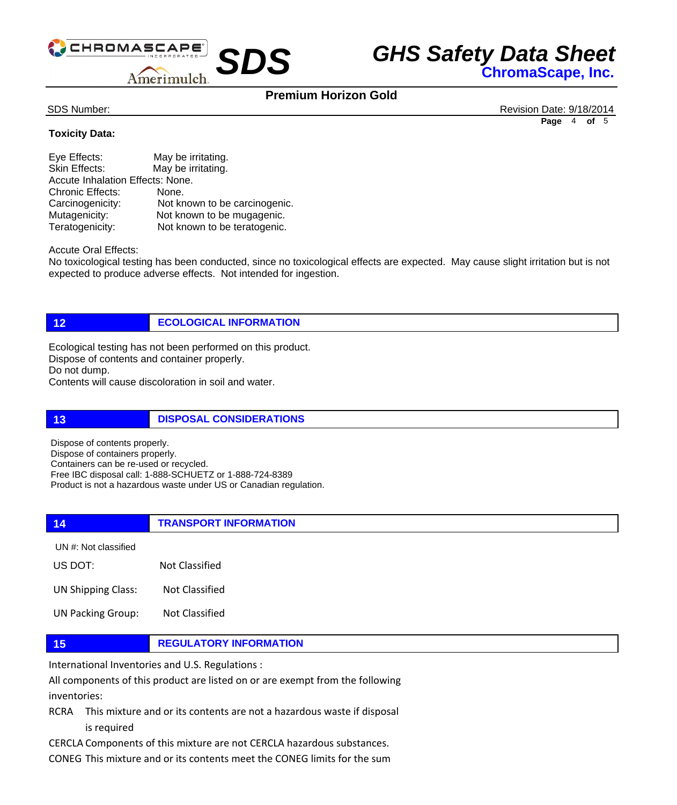

## **Premium Horizon Gold**

SDS Number: Revision Date: 9/18/2014 **Page** 4 **of** 5

### **Toxicity Data:**

| Eye Effects:                     | May be irritating.            |  |
|----------------------------------|-------------------------------|--|
| Skin Effects:                    | May be irritating.            |  |
| Accute Inhalation Effects: None. |                               |  |
| <b>Chronic Effects:</b>          | None.                         |  |
| Carcinogenicity:                 | Not known to be carcinogenic. |  |
| Mutagenicity:                    | Not known to be mugagenic.    |  |
| Teratogenicity:                  | Not known to be teratogenic.  |  |

Accute Oral Effects:

No toxicological testing has been conducted, since no toxicological effects are expected. May cause slight irritation but is not expected to produce adverse effects. Not intended for ingestion.

**12 ECOLOGICAL INFORMATION** 

Ecological testing has not been performed on this product. Dispose of contents and container properly. Do not dump. Contents will cause discoloration in soil and water.

**13 DISPOSAL CONSIDERATIONS** 

Dispose of contents properly. Dispose of containers properly. Containers can be re-used or recycled. Free IBC disposal call: 1-888-SCHUETZ or 1-888-724-8389 Product is not a hazardous waste under US or Canadian regulation.

**14 TRANSPORT INFORMATION** US DOT: Not Classified UN #: Not classified

UN Shipping Class: Not Classified

UN Packing Group: Not Classified

### **15 REGULATORY INFORMATION**

International Inventories and U.S. Regulations :

All components of this product are listed on or are exempt from the following inventories:

RCRA This mixture and or its contents are not a hazardous waste if disposal is required

CERCLA Components of this mixture are not CERCLA hazardous substances.

CONEG This mixture and or its contents meet the CONEG limits for the sum